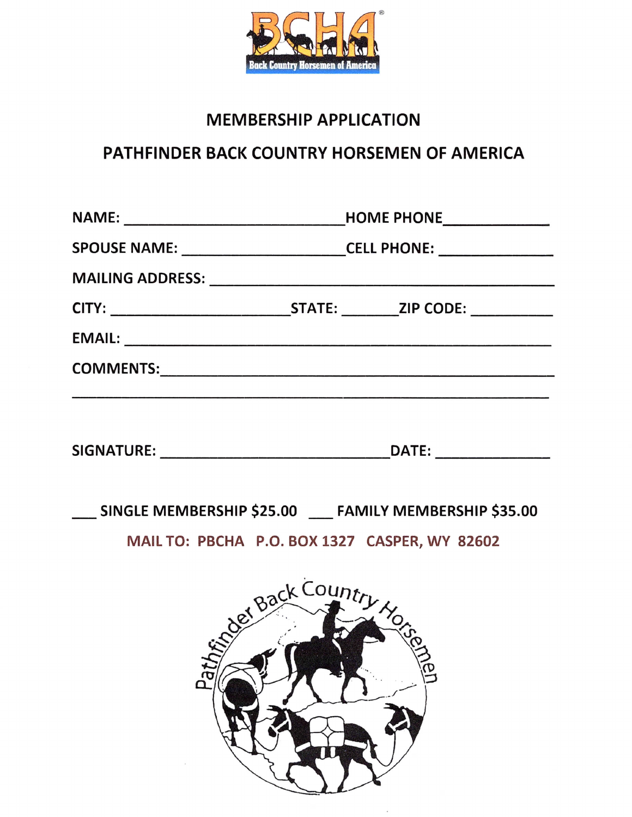

## **MEMBERSHIP APPLICATION**

## PATHFINDER BACK COUNTRY HORSEMEN OF AMERICA

| SPOUSE NAME: ___________________________CELL PHONE: ____________________________ |  |  |
|----------------------------------------------------------------------------------|--|--|
|                                                                                  |  |  |
|                                                                                  |  |  |
|                                                                                  |  |  |
|                                                                                  |  |  |
|                                                                                  |  |  |
|                                                                                  |  |  |

SINGLE MEMBERSHIP \$25.00 \_\_\_ FAMILY MEMBERSHIP \$35.00

MAIL TO: PBCHA P.O. BOX 1327 CASPER, WY 82602